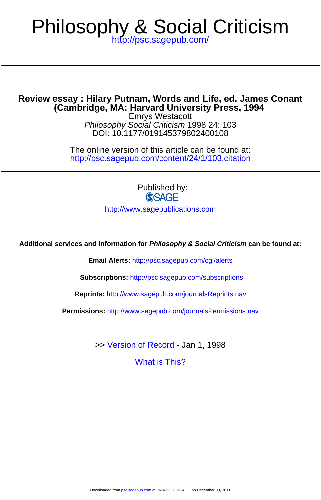## <http://psc.sagepub.com/> Philosophy & Social Criticism

**(Cambridge, MA: Harvard University Press, 1994 Review essay : Hilary Putnam, Words and Life, ed. James Conant**

DOI: 10.1177/019145379802400108 Philosophy Social Criticism 1998 24: 103 Emrys Westacott

<http://psc.sagepub.com/content/24/1/103.citation> The online version of this article can be found at:

> Published by:<br>
> SAGE <http://www.sagepublications.com>

**Additional services and information for Philosophy & Social Criticism can be found at:**

**Email Alerts:** <http://psc.sagepub.com/cgi/alerts>

**Subscriptions:** <http://psc.sagepub.com/subscriptions>

**Reprints:** <http://www.sagepub.com/journalsReprints.nav>

**Permissions:** <http://www.sagepub.com/journalsPermissions.nav>

>> [Version of Record -](http://psc.sagepub.com/content/24/1/103.full.pdf) Jan 1, 1998

[What is This?](http://online.sagepub.com/site/sphelp/vorhelp.xhtml)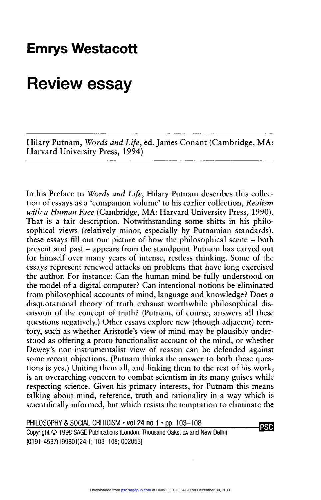## Emrys Westacott

# Review essay

Hilary Putnam, Words and Life, ed. James Conant (Cambridge, MA: Harvard University Press, 1994)

In his Preface to Words and Life, Hilary Putnam describes this collection of essays as a 'companion volume' to his earlier collection, Realism with a Human Face (Cambridge, MA: Harvard University Press, 1990). That is a fair description. Notwithstanding some shifts in his philosophical views (relatively minor, especially by Putnamian standards), these essays fill out our picture of how the philosophical scene - both present and past - appears from the standpoint Putnam has carved out for himself over many years of intense, restless thinking. Some of the essays represent renewed attacks on problems that have long exercised the author. For instance: Can the human mind be fully understood on the model of a digital computer? Can intentional notions be eliminated from philosophical accounts of mind, language and knowledge? Does a disquotational theory of truth exhaust worthwhile philosophical discussion of the concept of truth? (Putnam, of course, answers all these questions negatively.) Other essays explore new (though adjacent) territory, such as whether Aristotle's view of mind may be plausibly understood as offering a proto-functionalist account of the mind, or whether Dewey's non-instrumentalist view of reason can be defended against some recent objections. (Putnam thinks the answer to both these questions is yes.) Uniting them all, and linking them to the rest of his work, is an overarching concern to combat scientism in its many guises while respecting science. Given his primary interests, for Putnam this means talking about mind, reference, truth and rationality in a way which is scientifically informed, but which resists the temptation to eliminate the

PHILOSOPHY & SOCIAL CRITICISM  $\cdot$  vol 24 no 1  $\cdot$  pp. 103-108

Copyright © 1998 SAGE Publications (London, Thousand Oaks, cA and New Delhi) [0191-4537(199801)24:1; 103-108; 002053]

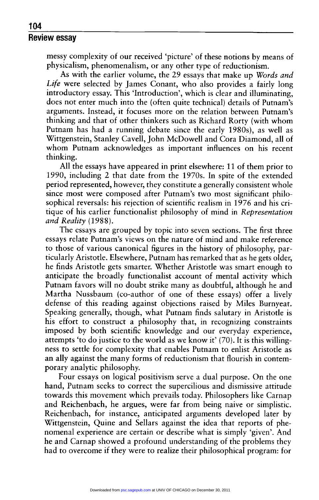### **Review essav**

104

messy complexity of our received 'picture' of these notions by means of physicalism, phenomenalism, or any other type of reductionism.

As with the earlier volume, the 29 essays that make up Words and Life were selected by James Conant, who also provides a fairly long introductory essay. This 'Introduction', which is clear and illuminating, does not enter much into the (often quite technical) details of Putnam's arguments. Instead, it focuses more on the relation between Putnam's thinking and that of other thinkers such as Richard Rorty (with whom Putnam has had a running debate since the early 1980s), as well as Wittgenstein, Stanley Cavell, John McDowell and Cora Diamond, all of whom Putnam acknowledges as important influences on his recent thinking.

All the essays have appeared in print elsewhere: 11 of them prior to 1990, including 2 that date from the 1970s. In spite of the extended period represented, however, they constitute a generally consistent whole since most were composed after Putnam's two most significant philo sophical reversals: his rejection of scientific realism in 1976 and his critique of his earlier functionalist philosophy of mind in Representation and Reality (1988).

The essays are grouped by topic into seven sections. The first three essays relate Putnam's views on the nature of mind and make reference to those of various canonical figures in the history of philosophy, particularly Aristotle. Elsewhere, Putnam has remarked that as he gets older, he finds Aristotle gets smarter. Whether Aristotle was smart enough to anticipate the broadly functionalist account of mental activity which Putnam favors will no doubt strike many as doubtful, although he and Martha Nussbaum (co-author of one of these essays) offer a lively defense of this reading against objections raised by Miles Burnyeat. Speaking generally, though, what Putnam finds salutary in Aristotle is his effort to construct a philosophy that, in recognizing constraints imposed by both scientific knowledge and our everyday experience, attempts 'to do justice to the world as we know it' (70). It is this willing ness to settle for complexity that enables Putnam to enlist Aristotle as an ally against the many forms of reductionism that flourish in contemporary analytic philosophy.

Four essays on logical positivism serve a dual purpose. On the one hand, Putnam seeks to correct the supercilious and dismissive attitude towards this movement which prevails today. Philosophers like Carnap and Reichenbach, he argues, were far from being naive or simplistic. Reichenbach, for instance, anticipated arguments developed later by Wittgenstein, Quine and Sellars against the idea that reports of phenomenal experience are certain or describe what is simply 'given'. And he and Carnap showed a profound understanding of the problems they had to overcome if they were to realize their philosophical program: for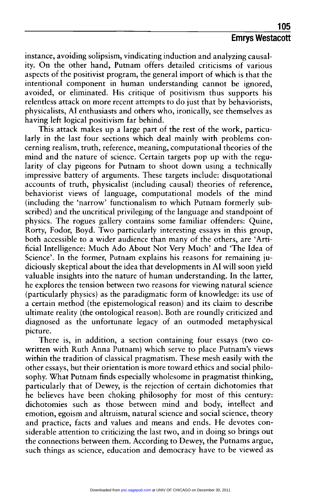#### 105 **Emrys Westacott**

instance, avoiding solipsism, vindicating induction and analyzing causality. On the other hand, Putnam offers detailed criticisms of various aspects of the positivist program, the general import of which is that the intentional component in human understanding cannot be ignored, avoided, or eliminated. His critique of positivism thus supports his relentless attack on more recent attempts to do just that by behaviorists, physicalists, AI enthusiasts and others who, ironically, see themselves as having left logical positivism far behind.

This attack makes up a large part of the rest of the work, particularly in the last four sections which deal mainly with problems concerning realism, truth, reference, meaning, computational theories of the mind and the nature of science. Certain targets pop up with the regularity of clay pigeons for Putnam to shoot down using a technically impressive battery of arguments. These targets include: disquotational accounts of truth, physicalist (including causal) theories of reference, behaviorist views of language, computational models of the mind (including the 'narrow' functionalism to which Putnam formerly subscribed) and the uncritical privileging of the language and standpoint of physics. The rogues gallery contains some familiar offenders: Quine, Rorty, Fodor, Boyd. Two particularly interesting essays in this group, both accessible to a wider audience than many of the others, are 'Artificial Intelligence: Much Ado About Not Very Much' and 'The Idea of Science'. In the former, Putnam explains his reasons for remaining judiciously skeptical about the idea that developments in AI will soon yield valuable insights into the nature of human understanding. In the latter, he explores the tension between two reasons for viewing natural science (particularly physics) as the paradigmatic form of knowledge: its use of a certain method (the epistemological reason) and its claim to describe ultimate reality (the ontological reason). Both are roundly criticized and diagnosed as the unfortunate legacy of an outmoded metaphysical picture.

There is, in addition, a section containing four essays (two cowritten with Ruth Anna Putnam) which serve to place Putnam's views within the tradition of classical pragmatism. These mesh easily with the other essays, but their orientation is more toward ethics and social philosophy. What Putnam finds especially wholesome in pragmatist thinking, particularly that of Dewey, is the rejection of certain dichotomies that he believes have been choking philosophy for most of this century: dichotomies such as those between mind and body, intellect and emotion, egoism and altruism, natural science and social science, theory and practice, facts and values and means and ends. He devotes considerable attention to criticizing the last two, and in doing so brings out the connections between them. According to Dewey, the Putnams argue, such things as science, education and democracy have to be viewed as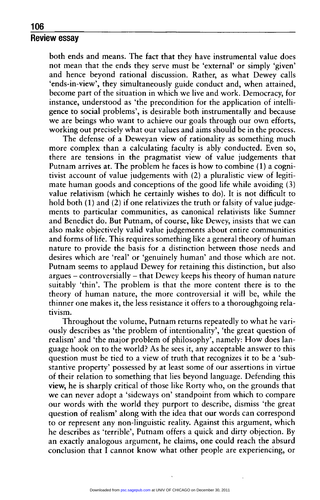#### 106 **Review essay**

both ends and means. The fact that they have instrumental value does not mean that the ends they serve must be 'external' or simply 'given' and hence beyond rational discussion. Rather, as what Dewey calls 'ends-in-view', they simultaneously guide conduct and, when attained, become part of the situation in which we live and work. Democracy, for instance, understood as 'the precondition for the application of intelligence to social problems', is desirable both instrumentally and because we are beings who want to achieve our goals through our own efforts, working out precisely what our values and aims should be in the process.

The defense of a Deweyan view of rationality as something much more complex than a calculating faculty is ably conducted. Even so, there are tensions in the pragmatist view of value judgements that Putnam arrives at. The problem he faces is how to combine (1) a cognitivist account of value judgements with (2) a pluralistic view of legitimate human goods and conceptions of the good life while avoiding  $(3)$ value relativism (which he certainly wishes to do). It is not difficult to hold both (1) and (2) if one relativizes the truth or falsity of value judge ments to particular communities, as canonical relativists like Sumner and Benedict do. But Putnam, of course, like Dewey, insists that we can also make objectively valid value judgements about entire communities and forms of life. This requires something like a general theory of human nature to provide the basis for a distinction between those needs and desires which are 'real' or 'genuinely human' and those which are not. Putnam seems to applaud Dewey for retaining this distinction, but also argues  $-$  controversially  $-$  that Dewey keeps his theory of human nature suitably 'thin'. The problem is that the more content there is to the theory of human nature, the more controversial it will be, while the thinner one makes it, the less resistance it offers to a thoroughgoing relativism.

Throughout the volume, Putnam returns repeatedly to what he variously describes as 'the problem of intentionality', 'the great question of realism' and 'the major problem of philosophy', namely: How does language hook on to the world? As he sees it, any acceptable answer to this question must be tied to a view of truth that recognizes it to be a 'substantive property' possessed by at least some of our assertions in virtue of their relation to something that lies beyond language. Defending this view, he is sharply critical of those like Rorty who, on the grounds that we can never adopt a 'sideways on' standpoint from which to compare our words with the world they purport to describe, dismiss 'the great question of realism' along with the idea that our words can correspond to or represent any non-linguistic reality. Against this argument, which he describes as 'terrible', Putnam offers a quick and dirty objection. By an exactly analogous argument, he claims, one could reach the absurd conclusion that I cannot know what other people are experiencing, or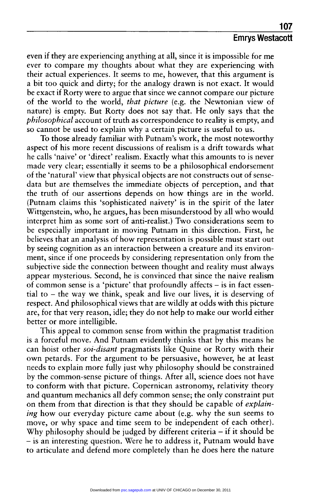#### 107 **Emrys Westacott**

even if they are experiencing anything at all, since it is impossible for me ever to compare my thoughts about what they are experiencing with their actual experiences. It seems to me, however, that this argument is a bit too quick and dirty; for the analogy drawn is not exact. It would be exact if Rorty were to argue that since we cannot compare our picture of the world to the world, that picture (e.g. the Newtonian view of nature) is empty. But Rorty does not say that. He only says that the philosophical account of truth as correspondence to reality is empty, and so cannot be used to explain why a certain picture is useful to us.

To those already familiar with Putnam's work, the most noteworthy aspect of his more recent discussions of realism is a drift towards what he calls 'naive' or 'direct' realism. Exactly what this amounts to is never made very clear; essentially it seems to be a philosophical endorsement of the 'natural' view that physical objects are not constructs out of sensedata but are themselves the immediate objects of perception, and that the truth of our assertions depends on how things are in the world. (Putnam claims this 'sophisticated naivety' is in the spirit of the later Wittgenstein, who, he argues, has been misunderstood by all who would interpret him as some sort of anti-realist.) Two considerations seem to be especially important in moving Putnam in this direction. First, he believes that an analysis of how representation is possible must start out by seeing cognition as an interaction between a creature and its environment, since if one proceeds by considering representation only from the subjective side the connection between thought and reality must always appear mysterious. Second, he is convinced that since the naive realism of common sense is a 'picture' that profoundly affects - is in fact essential to - the way we think, speak and live our lives, it is deserving of respect. And philosophical views that are wildly at odds with this picture are, for that very reason, idle; they do not help to make our world either better or more intelligible.

This appeal to common sense from within the pragmatist tradition is a forceful move. And Putnam evidently thinks that by this means he can hoist other soi-disant pragmatists like Quine or Rorty with their own petards. For the argument to be persuasive, however, he at least needs to explain more fully just why philosophy should be constrained by the common-sense picture of things. After all, science does not have to conform with that picture. Copernican astronomy, relativity theory and quantum mechanics all defy common sense; the only constraint put on them from that direction is that they should be capable of explaining how our everyday picture came about (e.g. why the sun seems to move, or why space and time seem to be independent of each other).<br>Why philosophy should be judged by different criteria – if it should be - is an interesting question. Were he to address it, Putnam would have to articulate and defend more completely than he does here the nature